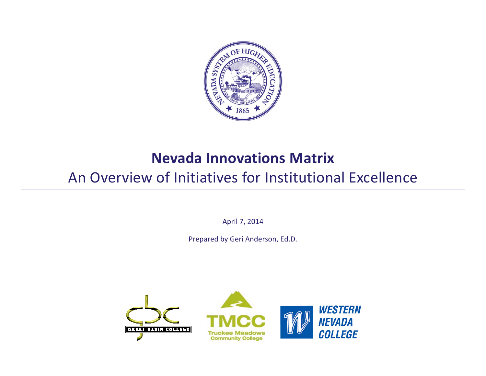

# **Nevada Innovations Matrix**

## An Overview of Initiatives for Institutional Excellence

April 7, 2014

Prepared by Geri Anderson, Ed.D.

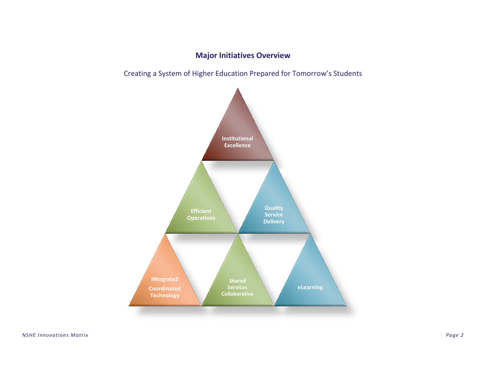### **Major Initiatives Overview**

Creating a System of Higher Education Prepared for Tomorrow's Students

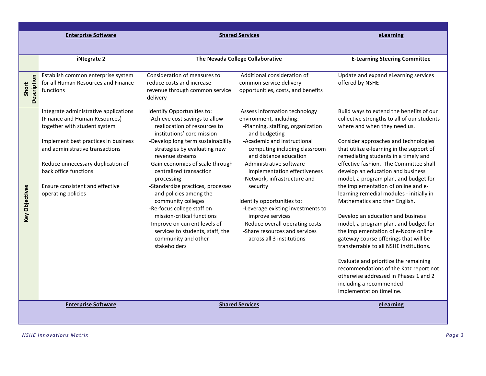| <b>Enterprise Software</b> |                                                                                                                                                                                                                                                                                                          | <b>Shared Services</b>                                                                                                                                                                                                                                                                                                                                                                                                                                                                                                                                       |                                                                                                                                                                                                                                                                                                                                                                                                                                                                                                          | eLearning                                                                                                                                                                                                                                                                                                                                                                                                                                                                                                                                                                                                                                                                                                                                                                                                                                                                                     |
|----------------------------|----------------------------------------------------------------------------------------------------------------------------------------------------------------------------------------------------------------------------------------------------------------------------------------------------------|--------------------------------------------------------------------------------------------------------------------------------------------------------------------------------------------------------------------------------------------------------------------------------------------------------------------------------------------------------------------------------------------------------------------------------------------------------------------------------------------------------------------------------------------------------------|----------------------------------------------------------------------------------------------------------------------------------------------------------------------------------------------------------------------------------------------------------------------------------------------------------------------------------------------------------------------------------------------------------------------------------------------------------------------------------------------------------|-----------------------------------------------------------------------------------------------------------------------------------------------------------------------------------------------------------------------------------------------------------------------------------------------------------------------------------------------------------------------------------------------------------------------------------------------------------------------------------------------------------------------------------------------------------------------------------------------------------------------------------------------------------------------------------------------------------------------------------------------------------------------------------------------------------------------------------------------------------------------------------------------|
|                            |                                                                                                                                                                                                                                                                                                          |                                                                                                                                                                                                                                                                                                                                                                                                                                                                                                                                                              |                                                                                                                                                                                                                                                                                                                                                                                                                                                                                                          |                                                                                                                                                                                                                                                                                                                                                                                                                                                                                                                                                                                                                                                                                                                                                                                                                                                                                               |
|                            | iNtegrate 2                                                                                                                                                                                                                                                                                              |                                                                                                                                                                                                                                                                                                                                                                                                                                                                                                                                                              | The Nevada College Collaborative                                                                                                                                                                                                                                                                                                                                                                                                                                                                         | <b>E-Learning Steering Committee</b>                                                                                                                                                                                                                                                                                                                                                                                                                                                                                                                                                                                                                                                                                                                                                                                                                                                          |
| Description<br>Short       | Establish common enterprise system<br>for all Human Resources and Finance<br>functions                                                                                                                                                                                                                   | Consideration of measures to<br>reduce costs and increase<br>revenue through common service<br>delivery                                                                                                                                                                                                                                                                                                                                                                                                                                                      | Additional consideration of<br>common service delivery<br>opportunities, costs, and benefits                                                                                                                                                                                                                                                                                                                                                                                                             | Update and expand eLearning services<br>offered by NSHE                                                                                                                                                                                                                                                                                                                                                                                                                                                                                                                                                                                                                                                                                                                                                                                                                                       |
| <b>Key Objectives</b>      | Integrate administrative applications<br>(Finance and Human Resources)<br>together with student system<br>Implement best practices in business<br>and administrative transactions<br>Reduce unnecessary duplication of<br>back office functions<br>Ensure consistent and effective<br>operating policies | Identify Opportunities to:<br>-Achieve cost savings to allow<br>reallocation of resources to<br>institutions' core mission<br>-Develop long term sustainability<br>strategies by evaluating new<br>revenue streams<br>-Gain economies of scale through<br>centralized transaction<br>processing<br>-Standardize practices, processes<br>and policies among the<br>community colleges<br>-Re-focus college staff on<br>mission-critical functions<br>-Improve on current levels of<br>services to students, staff, the<br>community and other<br>stakeholders | Assess information technology<br>environment, including:<br>-Planning, staffing, organization<br>and budgeting<br>-Academic and instructional<br>computing including classroom<br>and distance education<br>-Administrative software<br>implementation effectiveness<br>-Network, infrastructure and<br>security<br>Identify opportunities to:<br>-Leverage existing investments to<br>improve services<br>-Reduce overall operating costs<br>-Share resources and services<br>across all 3 institutions | Build ways to extend the benefits of our<br>collective strengths to all of our students<br>where and when they need us.<br>Consider approaches and technologies<br>that utilize e-learning in the support of<br>remediating students in a timely and<br>effective fashion. The Committee shall<br>develop an education and business<br>model, a program plan, and budget for<br>the implementation of online and e-<br>learning remedial modules - initially in<br>Mathematics and then English.<br>Develop an education and business<br>model, a program plan, and budget for<br>the implementation of e-Ncore online<br>gateway course offerings that will be<br>transferrable to all NSHE institutions.<br>Evaluate and prioritize the remaining<br>recommendations of the Katz report not<br>otherwise addressed in Phases 1 and 2<br>including a recommended<br>implementation timeline. |
| <b>Enterprise Software</b> |                                                                                                                                                                                                                                                                                                          | <b>Shared Services</b>                                                                                                                                                                                                                                                                                                                                                                                                                                                                                                                                       |                                                                                                                                                                                                                                                                                                                                                                                                                                                                                                          | eLearning                                                                                                                                                                                                                                                                                                                                                                                                                                                                                                                                                                                                                                                                                                                                                                                                                                                                                     |
|                            |                                                                                                                                                                                                                                                                                                          |                                                                                                                                                                                                                                                                                                                                                                                                                                                                                                                                                              |                                                                                                                                                                                                                                                                                                                                                                                                                                                                                                          |                                                                                                                                                                                                                                                                                                                                                                                                                                                                                                                                                                                                                                                                                                                                                                                                                                                                                               |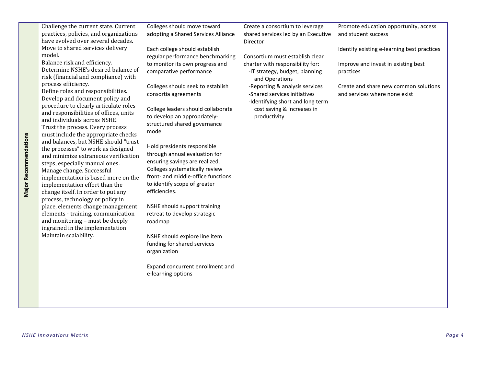**Payer Innovations Considered Considered Considered Considered Considered Considered Considered Theorem and Page 1818 and Page 47 <b>***Page 4 Page 4 Alternative Constrained Considered Considered Considered Considered Co* must include the appropriate checks and balances, but NSHE should "trust the processes" to work as designed and minimize extraneous verification steps, especially manual ones. Manage change. Successful implementation is based more on the implementation effort than the change itself. In order to put any process, technology or policy in place, elements change management elements - training, communication and monitoring – must be deeply ingrained in the implementation. Maintain scalability.

Challenge the current state. Current practices, policies, and organizations have evolved over several decades. Move to shared services delivery model.

Balance risk and efficiency. Determine NSHE's desired balance of risk (financial and compliance) with process efficiency.

Define roles and responsibilities. Develop and document policy and procedure to clearly articulate roles and responsibilities of offices, units and individuals across NSHE. Trust the process. Every process

Colleges should move toward adopting a Shared Services Alliance

Each college should establish regular performance benchmarking to monitor its own progress and comparative performance

Colleges should seek to establish consortia agreements

College leaders should collaborate to develop an appropriatelystructured shared governance model

Hold presidents responsible through annual evaluation for ensuring savings are realized. Colleges systematically review front- and middle-office functions to identify scope of greater efficiencies.

NSHE should support training retreat to develop strategic roadmap

NSHE should explore line item funding for shared services organization

Expand concurrent enrollment and e-learning options

Create a consortium to leverage shared services led by an Executive Director

Consortium must establish clear charter with responsibility for: -IT strategy, budget, planning and Operations -Reporting & analysis services -Shared services initiatives -Identifying short and long term cost saving & increases in productivity

Promote education opportunity, access and student success

Identify existing e-learning best practices

Improve and invest in existing best practices

Create and share new common solutions and services where none exist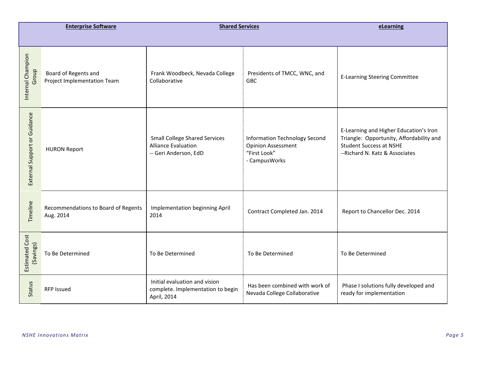| <b>Enterprise Software</b>         |                                                     | <b>Shared Services</b>                                                                      |                                                                                             | eLearning                                                                                                                                              |
|------------------------------------|-----------------------------------------------------|---------------------------------------------------------------------------------------------|---------------------------------------------------------------------------------------------|--------------------------------------------------------------------------------------------------------------------------------------------------------|
|                                    |                                                     |                                                                                             |                                                                                             |                                                                                                                                                        |
| Internal Champion<br>Group         | Board of Regents and<br>Project Implementation Team | Frank Woodbeck, Nevada College<br>Collaborative                                             | Presidents of TMCC, WNC, and<br><b>GBC</b>                                                  | <b>E-Learning Steering Committee</b>                                                                                                                   |
| External Support or Guidance       | <b>HURON Report</b>                                 | <b>Small College Shared Services</b><br><b>Alliance Evaluation</b><br>-- Geri Anderson, EdD | Information Technology Second<br><b>Opinion Assessment</b><br>"First Look"<br>- CampusWorks | E-Learning and Higher Education's Iron<br>Triangle: Opportunity, Affordability and<br><b>Student Success at NSHE</b><br>--Richard N. Katz & Associates |
| Timeline                           | Recommendations to Board of Regents<br>Aug. 2014    | Implementation beginning April<br>2014                                                      | Contract Completed Jan. 2014                                                                | Report to Chancellor Dec. 2014                                                                                                                         |
| <b>Estimated Cost</b><br>(Savings) | To Be Determined                                    | To Be Determined                                                                            | To Be Determined                                                                            | To Be Determined                                                                                                                                       |
| <b>Status</b>                      | <b>RFP Issued</b>                                   | Initial evaluation and vision<br>complete. Implementation to begin<br>April, 2014           | Has been combined with work of<br>Nevada College Collaborative                              | Phase I solutions fully developed and<br>ready for implementation                                                                                      |